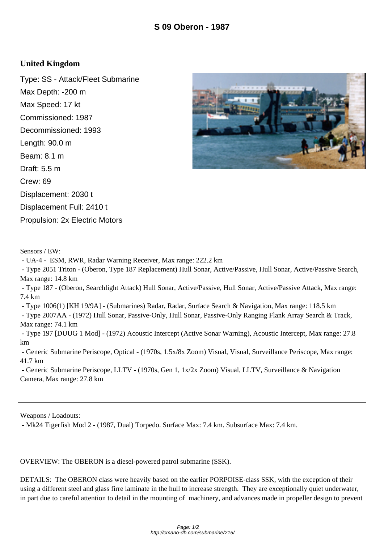## **United Kingdom**

Type: SS - Attack/Fleet Submarine Max Depth: -200 m Max Speed: 17 kt Commissioned: 1987 Decommissioned: 1993 Length: 90.0 m Beam: 8.1 m Draft: 5.5 m Crew: 69 Displacement: 2030 t Displacement Full: 2410 t Propulsion: 2x Electric Motors



Sensors / EW:

- UA-4 - ESM, RWR, Radar Warning Receiver, Max range: 222.2 km

 - Type 2051 Triton - (Oberon, Type 187 Replacement) Hull Sonar, Active/Passive, Hull Sonar, Active/Passive Search, Max range: 14.8 km

 - Type 187 - (Oberon, Searchlight Attack) Hull Sonar, Active/Passive, Hull Sonar, Active/Passive Attack, Max range: 7.4 km

- Type 1006(1) [KH 19/9A] - (Submarines) Radar, Radar, Surface Search & Navigation, Max range: 118.5 km

 - Type 2007AA - (1972) Hull Sonar, Passive-Only, Hull Sonar, Passive-Only Ranging Flank Array Search & Track, Max range: 74.1 km

 - Type 197 [DUUG 1 Mod] - (1972) Acoustic Intercept (Active Sonar Warning), Acoustic Intercept, Max range: 27.8 km

 - Generic Submarine Periscope, Optical - (1970s, 1.5x/8x Zoom) Visual, Visual, Surveillance Periscope, Max range: 41.7 km

 - Generic Submarine Periscope, LLTV - (1970s, Gen 1, 1x/2x Zoom) Visual, LLTV, Surveillance & Navigation Camera, Max range: 27.8 km

Weapons / Loadouts:

- Mk24 Tigerfish Mod 2 - (1987, Dual) Torpedo. Surface Max: 7.4 km. Subsurface Max: 7.4 km.

OVERVIEW: The OBERON is a diesel-powered patrol submarine (SSK).

DETAILS: The OBERON class were heavily based on the earlier PORPOISE-class SSK, with the exception of their using a different steel and glass firre laminate in the hull to increase strength. They are exceptionally quiet underwater, in part due to careful attention to detail in the mounting of machinery, and advances made in propeller design to prevent